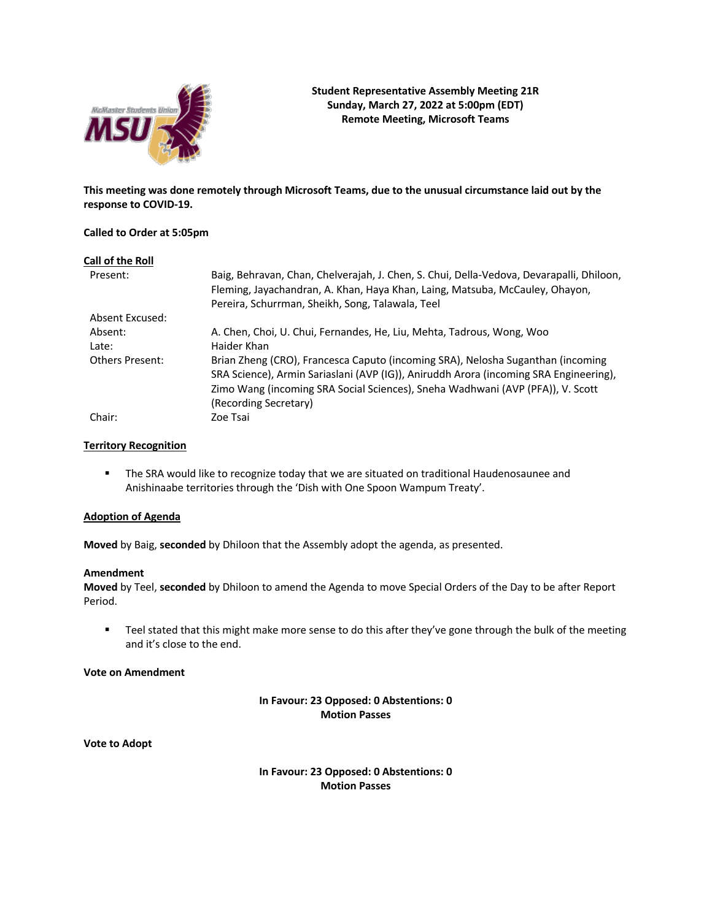

**This meeting was done remotely through Microsoft Teams, due to the unusual circumstance laid out by the response to COVID-19.**

### **Called to Order at 5:05pm**

| Call of the Roll       |                                                                                                                                                                                                                                                                                     |
|------------------------|-------------------------------------------------------------------------------------------------------------------------------------------------------------------------------------------------------------------------------------------------------------------------------------|
| Present:               | Baig, Behravan, Chan, Chelverajah, J. Chen, S. Chui, Della-Vedova, Devarapalli, Dhiloon,<br>Fleming, Jayachandran, A. Khan, Haya Khan, Laing, Matsuba, McCauley, Ohayon,<br>Pereira, Schurrman, Sheikh, Song, Talawala, Teel                                                        |
| Absent Excused:        |                                                                                                                                                                                                                                                                                     |
| Absent:                | A. Chen, Choi, U. Chui, Fernandes, He, Liu, Mehta, Tadrous, Wong, Woo                                                                                                                                                                                                               |
| Late:                  | Haider Khan                                                                                                                                                                                                                                                                         |
| <b>Others Present:</b> | Brian Zheng (CRO), Francesca Caputo (incoming SRA), Nelosha Suganthan (incoming<br>SRA Science), Armin Sariaslani (AVP (IG)), Aniruddh Arora (incoming SRA Engineering),<br>Zimo Wang (incoming SRA Social Sciences), Sneha Wadhwani (AVP (PFA)), V. Scott<br>(Recording Secretary) |
| Chair:                 | Zoe Tsai                                                                                                                                                                                                                                                                            |

## **Territory Recognition**

**•** The SRA would like to recognize today that we are situated on traditional Haudenosaunee and Anishinaabe territories through the 'Dish with One Spoon Wampum Treaty'.

### **Adoption of Agenda**

**Moved** by Baig, **seconded** by Dhiloon that the Assembly adopt the agenda, as presented.

#### **Amendment**

**Moved** by Teel, **seconded** by Dhiloon to amend the Agenda to move Special Orders of the Day to be after Report Period.

■ Teel stated that this might make more sense to do this after they've gone through the bulk of the meeting and it's close to the end.

### **Vote on Amendment**

## **In Favour: 23 Opposed: 0 Abstentions: 0 Motion Passes**

**Vote to Adopt**

**In Favour: 23 Opposed: 0 Abstentions: 0 Motion Passes**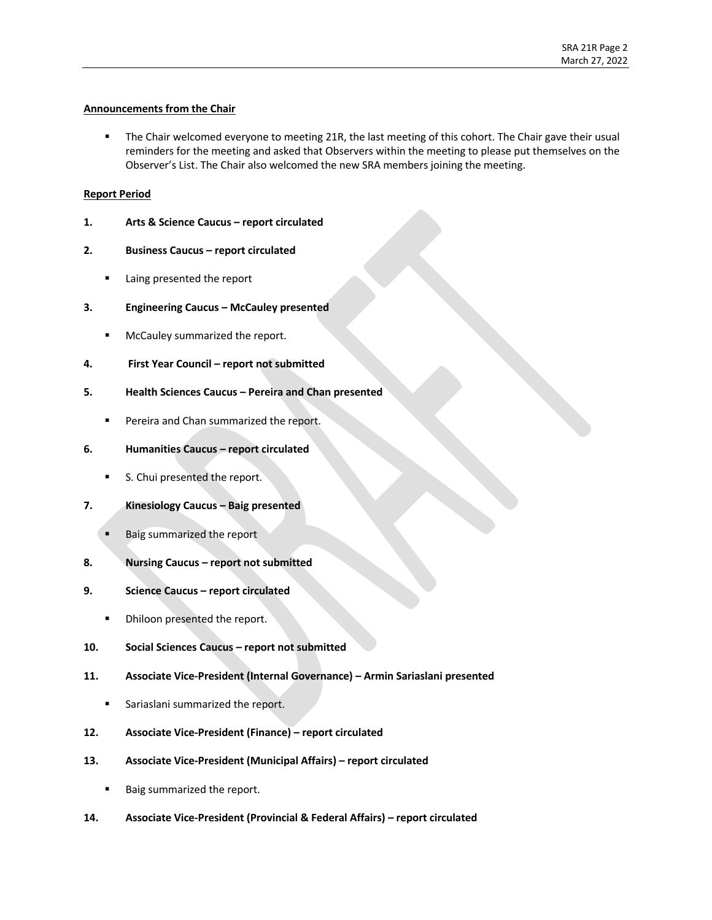## **Announcements from the Chair**

■ The Chair welcomed everyone to meeting 21R, the last meeting of this cohort. The Chair gave their usual reminders for the meeting and asked that Observers within the meeting to please put themselves on the Observer's List. The Chair also welcomed the new SRA members joining the meeting.

### **Report Period**

- **1. Arts & Science Caucus – report circulated**
- **2. Business Caucus – report circulated** 
	- Laing presented the report
- **3. Engineering Caucus – McCauley presented**
	- McCauley summarized the report.
- **4. First Year Council – report not submitted**
- **5. Health Sciences Caucus – Pereira and Chan presented**
	- Pereira and Chan summarized the report.
- **6. Humanities Caucus – report circulated**
	- S. Chui presented the report.
- **7. Kinesiology Caucus – Baig presented**
	- § Baig summarized the report
- **8. Nursing Caucus – report not submitted**
- **9. Science Caucus – report circulated**
	- Dhiloon presented the report.
- **10. Social Sciences Caucus – report not submitted**
- **11. Associate Vice-President (Internal Governance) – Armin Sariaslani presented**
	- Sariaslani summarized the report.
- **12. Associate Vice-President (Finance) – report circulated**
- **13. Associate Vice-President (Municipal Affairs) – report circulated** 
	- Baig summarized the report.
- **14. Associate Vice-President (Provincial & Federal Affairs) – report circulated**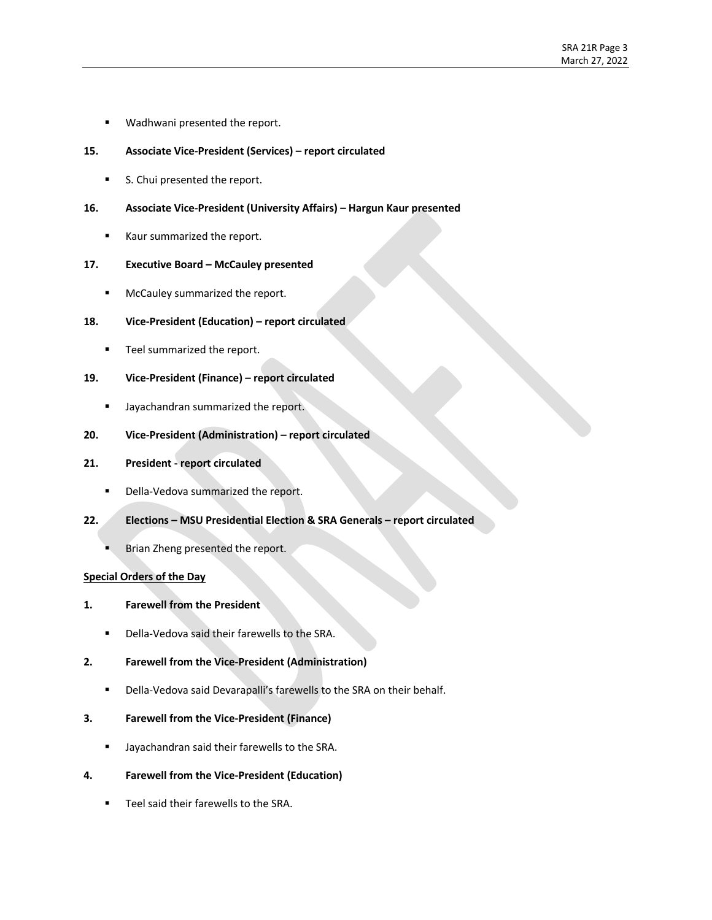- **■** Wadhwani presented the report.
- **15. Associate Vice-President (Services) – report circulated**
	- S. Chui presented the report.
- **16. Associate Vice-President (University Affairs) – Hargun Kaur presented**
	- Kaur summarized the report.

#### **17. Executive Board – McCauley presented**

**■** McCauley summarized the report.

### **18. Vice-President (Education) – report circulated**

- Teel summarized the report.
- **19. Vice-President (Finance) – report circulated** 
	- Jayachandran summarized the report.
- **20. Vice-President (Administration) – report circulated**

#### **21. President - report circulated**

- Della-Vedova summarized the report.
- **22. Elections – MSU Presidential Election & SRA Generals – report circulated** 
	- § Brian Zheng presented the report.

#### **Special Orders of the Day**

- **1. Farewell from the President**
	- Della-Vedova said their farewells to the SRA.
- **2. Farewell from the Vice-President (Administration)**
	- Della-Vedova said Devarapalli's farewells to the SRA on their behalf.

#### **3. Farewell from the Vice-President (Finance)**

- **■** Jayachandran said their farewells to the SRA.
- **4. Farewell from the Vice-President (Education)**
	- Teel said their farewells to the SRA.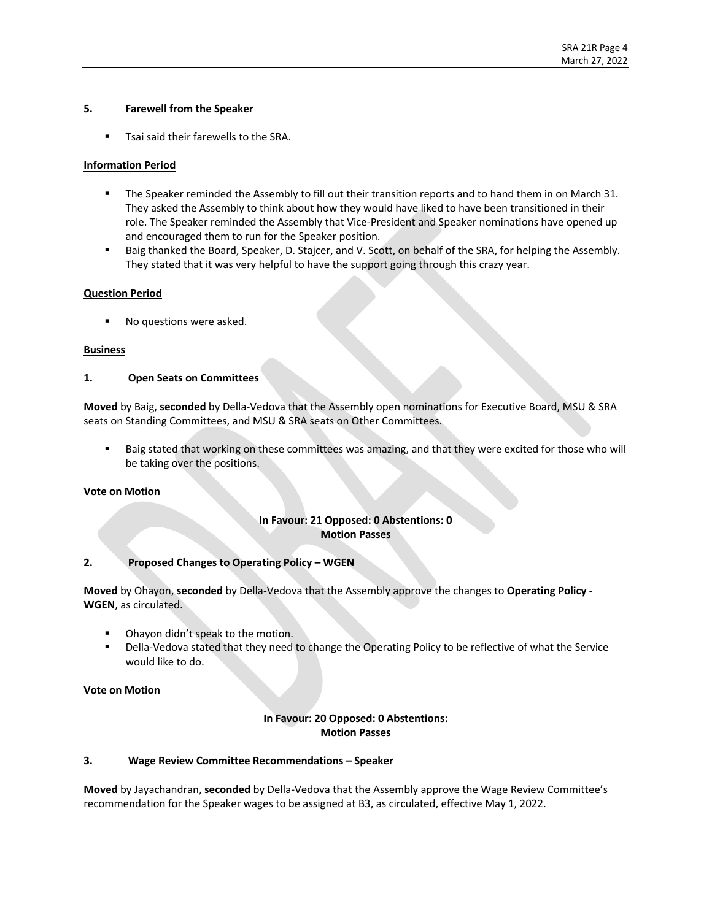### **5. Farewell from the Speaker**

■ Tsai said their farewells to the SRA.

## **Information Period**

- The Speaker reminded the Assembly to fill out their transition reports and to hand them in on March 31. They asked the Assembly to think about how they would have liked to have been transitioned in their role. The Speaker reminded the Assembly that Vice-President and Speaker nominations have opened up and encouraged them to run for the Speaker position.
- Baig thanked the Board, Speaker, D. Stajcer, and V. Scott, on behalf of the SRA, for helping the Assembly. They stated that it was very helpful to have the support going through this crazy year.

### **Question Period**

■ No questions were asked.

### **Business**

### **1. Open Seats on Committees**

**Moved** by Baig, **seconded** by Della-Vedova that the Assembly open nominations for Executive Board, MSU & SRA seats on Standing Committees, and MSU & SRA seats on Other Committees.

Baig stated that working on these committees was amazing, and that they were excited for those who will be taking over the positions.

#### **Vote on Motion**

## **In Favour: 21 Opposed: 0 Abstentions: 0 Motion Passes**

## **2. Proposed Changes to Operating Policy – WGEN**

**Moved** by Ohayon, **seconded** by Della-Vedova that the Assembly approve the changes to **Operating Policy - WGEN**, as circulated.

- Ohayon didn't speak to the motion.
- Della-Vedova stated that they need to change the Operating Policy to be reflective of what the Service would like to do.

**Vote on Motion**

## **In Favour: 20 Opposed: 0 Abstentions: Motion Passes**

#### **3. Wage Review Committee Recommendations – Speaker**

**Moved** by Jayachandran, **seconded** by Della-Vedova that the Assembly approve the Wage Review Committee's recommendation for the Speaker wages to be assigned at B3, as circulated, effective May 1, 2022.